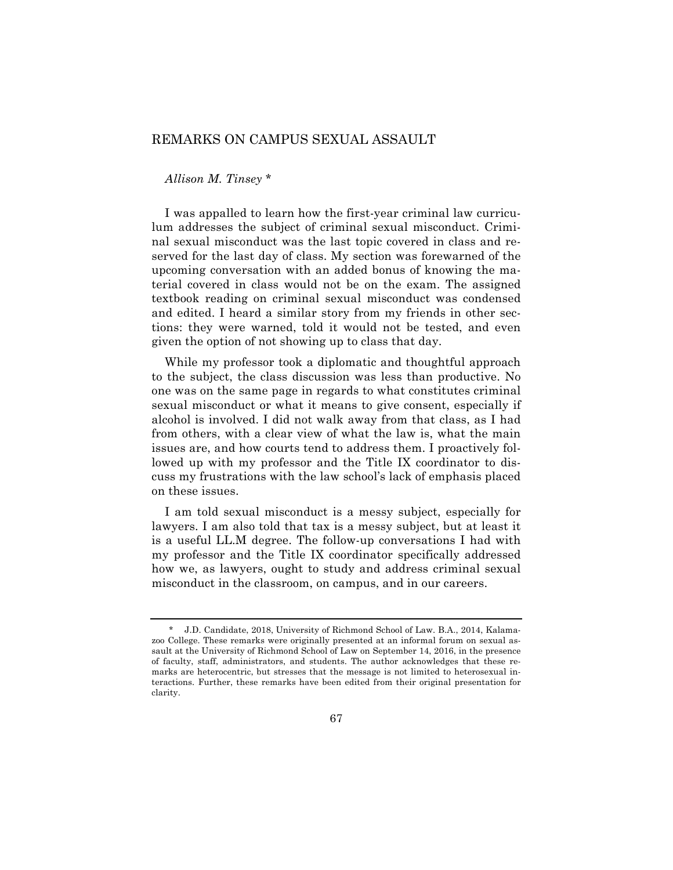## REMARKS ON CAMPUS SEXUAL ASSAULT

## *Allison M. Tinsey* \*

I was appalled to learn how the first-year criminal law curriculum addresses the subject of criminal sexual misconduct. Criminal sexual misconduct was the last topic covered in class and reserved for the last day of class. My section was forewarned of the upcoming conversation with an added bonus of knowing the material covered in class would not be on the exam. The assigned textbook reading on criminal sexual misconduct was condensed and edited. I heard a similar story from my friends in other sections: they were warned, told it would not be tested, and even given the option of not showing up to class that day.

While my professor took a diplomatic and thoughtful approach to the subject, the class discussion was less than productive. No one was on the same page in regards to what constitutes criminal sexual misconduct or what it means to give consent, especially if alcohol is involved. I did not walk away from that class, as I had from others, with a clear view of what the law is, what the main issues are, and how courts tend to address them. I proactively followed up with my professor and the Title IX coordinator to discuss my frustrations with the law school's lack of emphasis placed on these issues.

I am told sexual misconduct is a messy subject, especially for lawyers. I am also told that tax is a messy subject, but at least it is a useful LL.M degree. The follow-up conversations I had with my professor and the Title IX coordinator specifically addressed how we, as lawyers, ought to study and address criminal sexual misconduct in the classroom, on campus, and in our careers.

<sup>\*</sup> J.D. Candidate, 2018, University of Richmond School of Law. B.A., 2014, Kalamazoo College. These remarks were originally presented at an informal forum on sexual assault at the University of Richmond School of Law on September 14, 2016, in the presence of faculty, staff, administrators, and students. The author acknowledges that these remarks are heterocentric, but stresses that the message is not limited to heterosexual interactions. Further, these remarks have been edited from their original presentation for clarity.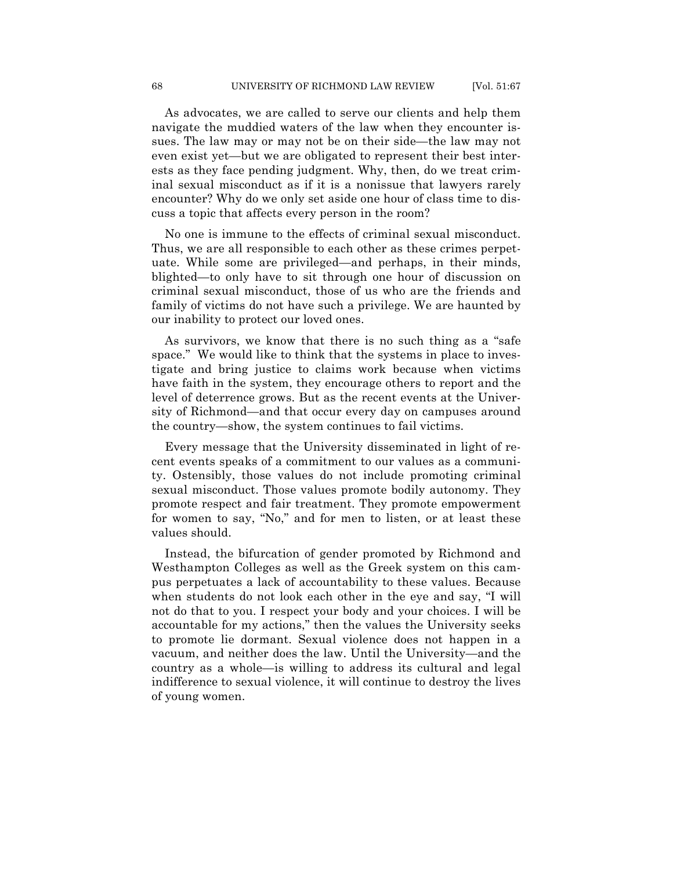As advocates, we are called to serve our clients and help them navigate the muddied waters of the law when they encounter issues. The law may or may not be on their side—the law may not even exist yet—but we are obligated to represent their best interests as they face pending judgment. Why, then, do we treat criminal sexual misconduct as if it is a nonissue that lawyers rarely encounter? Why do we only set aside one hour of class time to discuss a topic that affects every person in the room?

No one is immune to the effects of criminal sexual misconduct. Thus, we are all responsible to each other as these crimes perpetuate. While some are privileged—and perhaps, in their minds, blighted—to only have to sit through one hour of discussion on criminal sexual misconduct, those of us who are the friends and family of victims do not have such a privilege. We are haunted by our inability to protect our loved ones.

As survivors, we know that there is no such thing as a "safe space." We would like to think that the systems in place to investigate and bring justice to claims work because when victims have faith in the system, they encourage others to report and the level of deterrence grows. But as the recent events at the University of Richmond—and that occur every day on campuses around the country—show, the system continues to fail victims.

Every message that the University disseminated in light of recent events speaks of a commitment to our values as a community. Ostensibly, those values do not include promoting criminal sexual misconduct. Those values promote bodily autonomy. They promote respect and fair treatment. They promote empowerment for women to say, "No," and for men to listen, or at least these values should.

Instead, the bifurcation of gender promoted by Richmond and Westhampton Colleges as well as the Greek system on this campus perpetuates a lack of accountability to these values. Because when students do not look each other in the eye and say, "I will not do that to you. I respect your body and your choices. I will be accountable for my actions," then the values the University seeks to promote lie dormant. Sexual violence does not happen in a vacuum, and neither does the law. Until the University—and the country as a whole—is willing to address its cultural and legal indifference to sexual violence, it will continue to destroy the lives of young women.